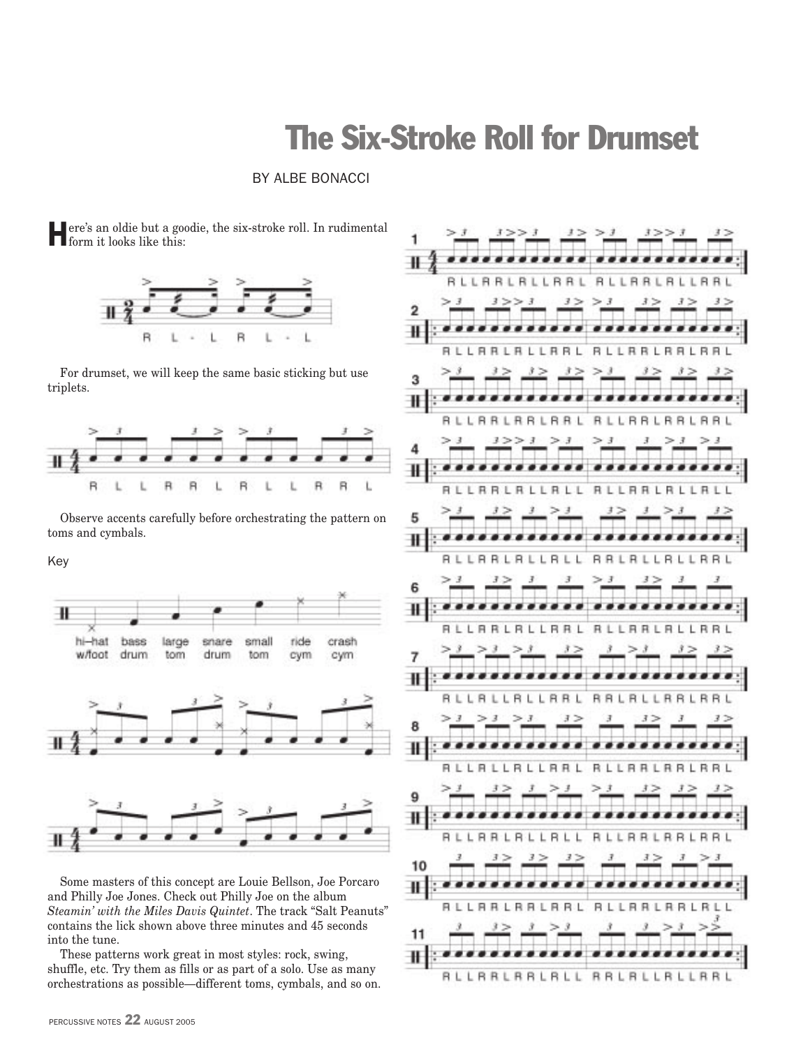## The Six-Stroke Roll for Drumset

BY ALBE BONACCI

ere's an oldie but a goodie, the six-stroke roll. In rudimental form it looks like this:



For drumset, we will keep the same basic sticking but use triplets.



Observe accents carefully before orchestrating the pattern on toms and cymbals.

Key



Some masters of this concept are Louie Bellson, Joe Porcaro and Philly Joe Jones. Check out Philly Joe on the album *Steamin' with the Miles Davis Quintet*. The track "Salt Peanuts" contains the lick shown above three minutes and 45 seconds into the tune.

These patterns work great in most styles: rock, swing, shuffle, etc. Try them as fills or as part of a solo. Use as many orchestrations as possible—different toms, cymbals, and so on.